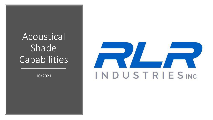# Acoustical Shade **Capabilities**

10/2021

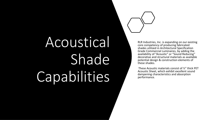# Acoustical Shade Capabilities

RLR Industries, Inc. is expanding on our existing core competency of producing fabricated shades utilized in Architectural Specification Grade Commercial Luminaires, by adding the availability of "Acoustic" or "Sound Reducing" decorative and structural materials as available potential design & construction elements of these shades.

These Acoustic materials consist of ½" thick PET Acoustic Sheet, which exhibit excellent sound dampening characteristics and absorption performance.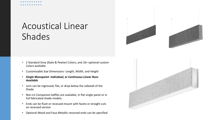## Acoustical Linear Shades

- 2 Standard Grey (Slate & Pewter) Colors, and 16+ optional custom Colors available
- Customizable Size Dimensions- Length, Width, and Height
- *Single Monopoint- Individual, or Continuous Linear Runs Available*
- Lens can be regressed, flat, or drop below the sidewall of the Shade
- Non-Lit Companion baffles are available, in flat single panel or in full fabricated shade models
- Ends can be flush or recessed mount with facets or straight cuts on recessed version
- Optional Wood and Faux Metallic recessed ends can be specified



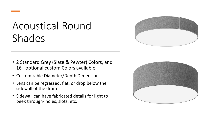# Acoustical Round Shades

- 2 Standard Grey (Slate & Pewter) Colors, and 16+ optional custom Colors available
- Customizable Diameter/Depth Dimensions
- Lens can be regressed, flat, or drop below the sidewall of the drum
- Sidewall can have fabricated details for light to peek through- holes, slots, etc.



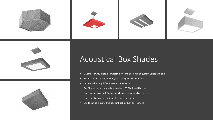



### Acoustical Box Shades

- 2 Standard Grey (Slate & Pewter) Colors, and 16+ optional custom Colors available
- Shapes can be Square, Rectangular, Triangular, Hexagon, etc.
- Customizable Length/width/Depth Dimensions
- Box Shades can accommodate standard LED Flat Panel Fixtures
- Lens can be regressed, flat, or drop below the sidewall of the box
- Lens can also have an optional thermoformed shape.
- Shade can be mounted via pendant, cable, flush or T-bar grid

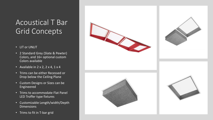### Acoustical T Bar Grid Concepts

- LIT or UNLIT
- 2 Standard Grey (Slate & Pewter) Colors, and 16+ optional custom Colors available
- Available in  $2 \times 2$ ,  $2 \times 4$ ,  $1 \times 4$
- Trims can be either Recessed or Drop below the Ceiling Plane
- Custom Designs or Sizes can be Engineered
- Trims to accommodate Flat Panel LED Troffer type fixtures
- Customizable Length/width/Depth Dimensions
- Trims to fit in T-bar grid

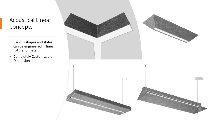#### Acoustical Linear Concepts

- Various shapes and styles can be engineered in linear fixture formats
- Completely Customizable Dimensions

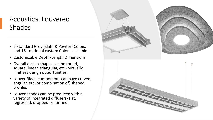#### Acoustical Louvered Shades

- 2 Standard Grey (Slate & Pewter) Colors, and 16+ optional custom Colors available
- Customizable Depth/Length Dimensions
- Overall design shapes can be round, square, linear, triangular, etc.- virtually limitless design opportunities.
- Louver Blade components can have curved, angular, etc.(or combination of) shaped profiles
- Louver shades can be produced with a variety of integrated diffusers- flat, regressed, dropped or formed.

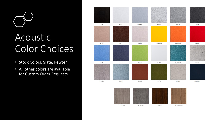

# Acoustic Color Choices

- Stock Colors: Slate, Pewter
- All other colors are available for Custom Order Requests